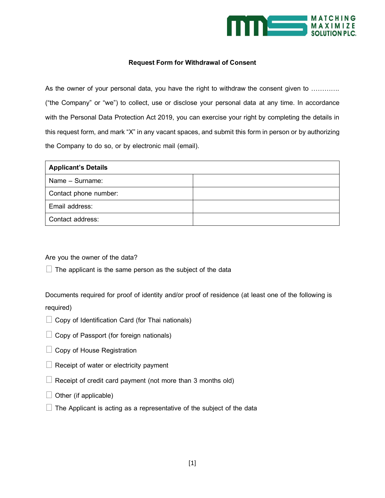

## **Request Form for Withdrawal of Consent**

As the owner of your personal data, you have the right to withdraw the consent given to ............ ("the Company" or "we") to collect, use or disclose your personal data at any time. In accordance with the Personal Data Protection Act 2019, you can exercise your right by completing the details in this request form, and mark "X" in any vacant spaces, and submit this form in person or by authorizing the Company to do so, or by electronic mail (email).

| <b>Applicant's Details</b> |  |
|----------------------------|--|
| Name - Surname:            |  |
| Contact phone number:      |  |
| Email address:             |  |
| Contact address:           |  |

Are you the owner of the data?

 $\Box$  The applicant is the same person as the subject of the data

Documents required for proof of identity and/or proof of residence (at least one of the following is required)

- $\Box$  Copy of Identification Card (for Thai nationals)
- $\Box$  Copy of Passport (for foreign nationals)
- $\Box$  Copy of House Registration
- $\Box$  Receipt of water or electricity payment
- $\Box$  Receipt of credit card payment (not more than 3 months old)
- $\Box$  Other (if applicable)
- $\Box$  The Applicant is acting as a representative of the subject of the data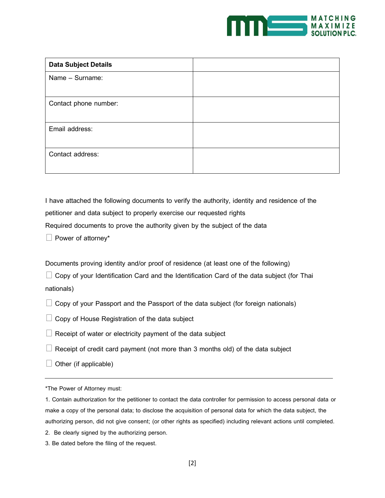

| <b>Data Subject Details</b> |  |
|-----------------------------|--|
| Name - Surname:             |  |
|                             |  |
| Contact phone number:       |  |
|                             |  |
| Email address:              |  |
|                             |  |
| Contact address:            |  |
|                             |  |

I have attached the following documents to verify the authority, identity and residence of the petitioner and data subject to properly exercise our requested rights Required documents to prove the authority given by the subject of the data

Power of attorney\*

Documents proving identity and/or proof of residence (at least one of the following)

 $\Box$  Copy of your Identification Card and the Identification Card of the data subject (for Thai nationals)

 $\Box$  Copy of your Passport and the Passport of the data subject (for foreign nationals)

 $\Box$  Copy of House Registration of the data subject

 $\Box$  Receipt of water or electricity payment of the data subject

 $\Box$  Receipt of credit card payment (not more than 3 months old) of the data subject

 $\Box$  Other (if applicable)

\*The Power of Attorney must:

1. Contain authorization for the petitioner to contact the data controller for permission to access personal data or make a copy of the personal data; to disclose the acquisition of personal data for which the data subject, the authorizing person, did not give consent; (or other rights as specified) including relevant actions until completed.

2. Be clearly signed by the authorizing person.

3. Be dated before the filing of the request.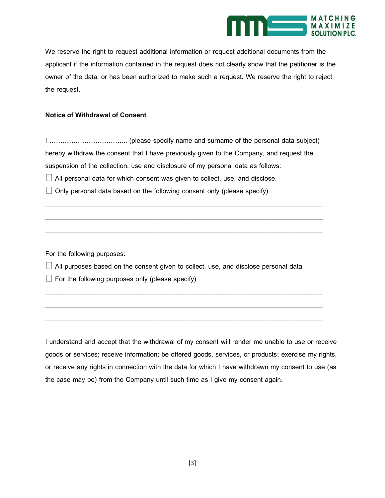

We reserve the right to request additional information or request additional documents from the applicant if the information contained in the request does not clearly show that the petitioner is the owner of the data, or has been authorized to make such a request. We reserve the right to reject the request.

## **Notice of Withdrawal of Consent**

I ……………………………... (please specify name and surname of the personal data subject) hereby withdraw the consent that I have previously given to the Company, and request the suspension of the collection, use and disclosure of my personal data as follows:

\_\_\_\_\_\_\_\_\_\_\_\_\_\_\_\_\_\_\_\_\_\_\_\_\_\_\_\_\_\_\_\_\_\_\_\_\_\_\_\_\_\_\_\_\_\_\_\_\_\_\_\_\_\_\_\_\_\_\_\_\_\_\_\_\_\_\_\_\_\_\_\_\_\_\_\_ \_\_\_\_\_\_\_\_\_\_\_\_\_\_\_\_\_\_\_\_\_\_\_\_\_\_\_\_\_\_\_\_\_\_\_\_\_\_\_\_\_\_\_\_\_\_\_\_\_\_\_\_\_\_\_\_\_\_\_\_\_\_\_\_\_\_\_\_\_\_\_\_\_\_\_\_

\_\_\_\_\_\_\_\_\_\_\_\_\_\_\_\_\_\_\_\_\_\_\_\_\_\_\_\_\_\_\_\_\_\_\_\_\_\_\_\_\_\_\_\_\_\_\_\_\_\_\_\_\_\_\_\_\_\_\_\_\_\_\_\_\_\_\_\_\_\_\_\_\_\_\_\_

\_\_\_\_\_\_\_\_\_\_\_\_\_\_\_\_\_\_\_\_\_\_\_\_\_\_\_\_\_\_\_\_\_\_\_\_\_\_\_\_\_\_\_\_\_\_\_\_\_\_\_\_\_\_\_\_\_\_\_\_\_\_\_\_\_\_\_\_\_\_\_\_\_\_\_\_ \_\_\_\_\_\_\_\_\_\_\_\_\_\_\_\_\_\_\_\_\_\_\_\_\_\_\_\_\_\_\_\_\_\_\_\_\_\_\_\_\_\_\_\_\_\_\_\_\_\_\_\_\_\_\_\_\_\_\_\_\_\_\_\_\_\_\_\_\_\_\_\_\_\_\_\_

\_\_\_\_\_\_\_\_\_\_\_\_\_\_\_\_\_\_\_\_\_\_\_\_\_\_\_\_\_\_\_\_\_\_\_\_\_\_\_\_\_\_\_\_\_\_\_\_\_\_\_\_\_\_\_\_\_\_\_\_\_\_\_\_\_\_\_\_\_\_\_\_\_\_\_\_

 $\Box$  All personal data for which consent was given to collect, use, and disclose.

 $\Box$  Only personal data based on the following consent only (please specify)

For the following purposes:

 $\Box$  All purposes based on the consent given to collect, use, and disclose personal data

 $\Box$  For the following purposes only (please specify)

I understand and accept that the withdrawal of my consent will render me unable to use or receive goods or services; receive information; be offered goods, services, or products; exercise my rights, or receive any rights in connection with the data for which I have withdrawn my consent to use (as the case may be) from the Company until such time as I give my consent again.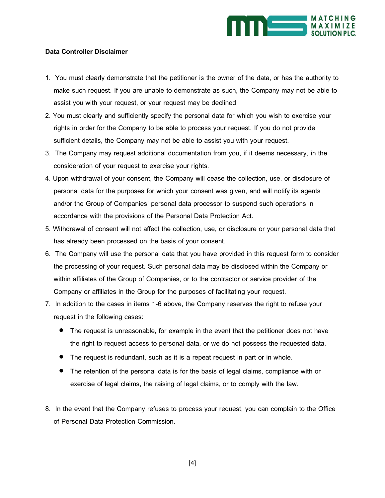

## **Data Controller Disclaimer**

- 1. You must clearly demonstrate that the petitioner is the owner of the data, or has the authority to make such request. If you are unable to demonstrate as such, the Company may not be able to assist you with your request, or your request may be declined
- 2. You must clearly and sufficiently specify the personal data for which you wish to exercise your rights in order for the Company to be able to process your request. If you do not provide sufficient details, the Company may not be able to assist you with your request.
- 3. The Company may request additional documentation from you, if it deems necessary, in the consideration of your request to exercise your rights.
- 4. Upon withdrawal of your consent, the Company will cease the collection, use, or disclosure of personal data for the purposes for which your consent was given, and will notify its agents and/or the Group of Companies' personal data processor to suspend such operations in accordance with the provisions of the Personal Data Protection Act.
- 5. Withdrawal of consent will not affect the collection, use, or disclosure or your personal data that has already been processed on the basis of your consent.
- 6. The Company will use the personal data that you have provided in this request form to consider the processing of your request. Such personal data may be disclosed within the Company or within affiliates of the Group of Companies, or to the contractor or service provider of the Company or affiliates in the Group for the purposes of facilitating your request.
- 7. In addition to the cases in items 1-6 above, the Company reserves the right to refuse your request in the following cases:
	- The request is unreasonable, for example in the event that the petitioner does not have the right to request access to personal data, or we do not possess the requested data.
	- The request is redundant, such as it is a repeat request in part or in whole.
	- The retention of the personal data is for the basis of legal claims, compliance with or exercise of legal claims, the raising of legal claims, or to comply with the law.
- 8. In the event that the Company refuses to process your request, you can complain to the Office of Personal Data Protection Commission.